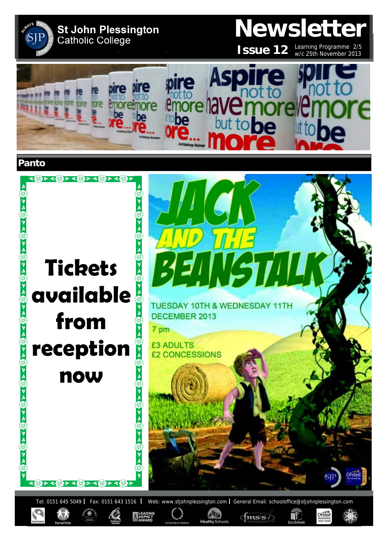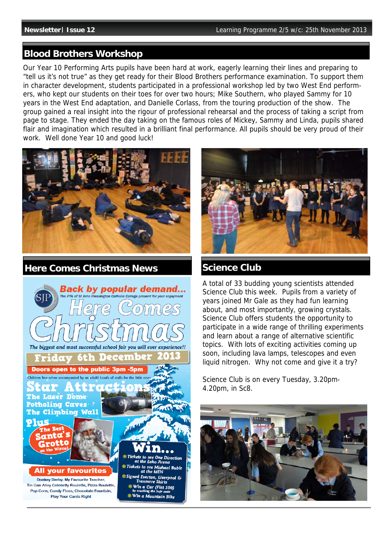# **Blood Brothers Workshop**

Our Year 10 Performing Arts pupils have been hard at work, eagerly learning their lines and preparing to "tell us it's not true" as they get ready for their Blood Brothers performance examination. To support them in character development, students participated in a professional workshop led by two West End performers, who kept our students on their toes for over two hours; Mike Southern, who played Sammy for 10 years in the West End adaptation, and Danielle Corlass, from the touring production of the show. The group gained a real insight into the rigour of professional rehearsal and the process of taking a script from page to stage. They ended the day taking on the famous roles of Mickey, Sammy and Linda, pupils shared flair and imagination which resulted in a brilliant final performance. All pupils should be very proud of their work. Well done Year 10 and good luck!



**Here Comes Christmas News** 





# **Science Club**

A total of 33 budding young scientists attended Science Club this week. Pupils from a variety of years joined Mr Gale as they had fun learning about, and most importantly, growing crystals. Science Club offers students the opportunity to participate in a wide range of thrilling experiments and learn about a range of alternative scientific topics. With lots of exciting activities coming up soon, including lava lamps, telescopes and even liquid nitrogen. Why not come and give it a try?

Science Club is on every Tuesday, 3.20pm-4.20pm, in Sc8.

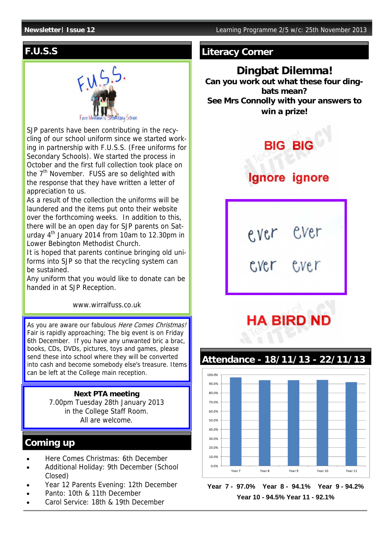# **F.U.S.S**



SJP parents have been contributing in the recycling of our school uniform since we started working in partnership with F.U.S.S. (Free uniforms for Secondary Schools). We started the process in October and the first full collection took place on the 7<sup>th</sup> November. FUSS are so delighted with the response that they have written a letter of appreciation to us.

As a result of the collection the uniforms will be laundered and the items put onto their website over the forthcoming weeks. In addition to this, there will be an open day for SJP parents on Saturday 4th January 2014 from 10am to 12.30pm in Lower Bebington Methodist Church.

It is hoped that parents continue bringing old uniforms into SJP so that the recycling system can be sustained.

Any uniform that you would like to donate can be handed in at SJP Reception.

www.wirralfuss.co.uk

As you are aware our fabulous Here Comes Christmas! Fair is rapidly approaching; The big event is on Friday 6th December. If you have any unwanted bric a brac, books, CDs, DVDs, pictures, toys and games, please send these into school where they will be converted into cash and become somebody else's treasure. Items can be left at the College main reception.

### **Next PTA meeting**

7.00pm Tuesday 28th January 2013 in the College Staff Room. All are welcome.

# **Coming up**

- Here Comes Christmas: 6th December
- Additional Holiday: 9th December (School Closed)
- Year 12 Parents Evening: 12th December
- Panto: 10th & 11th December
- Carol Service: 18th & 19th December

## **Literacy Corner**

**Dingbat Dilemma! Can you work out what these four dingbats mean? See Mrs Connolly with your answers to win a prize!** 



ever ever<br>cver ever

Cver

# **HA BIRD ND**





**Year 7 - 97.0% Year 8 - 94.1% Year 9 - 94.2% Year 10 - 94.5% Year 11 - 92.1%**